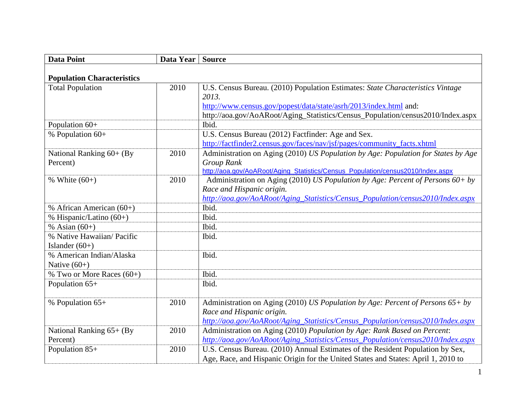| <b>Data Point</b>                 | Data Year | <b>Source</b>                                                                     |
|-----------------------------------|-----------|-----------------------------------------------------------------------------------|
| <b>Population Characteristics</b> |           |                                                                                   |
| <b>Total Population</b>           | 2010      | U.S. Census Bureau. (2010) Population Estimates: State Characteristics Vintage    |
|                                   |           | 2013.                                                                             |
|                                   |           | http://www.census.gov/popest/data/state/asrh/2013/index.html and:                 |
|                                   |           | http://aoa.gov/AoARoot/Aging_Statistics/Census_Population/census2010/Index.aspx   |
| Population 60+                    |           | Ibid.                                                                             |
| % Population 60+                  |           | U.S. Census Bureau (2012) Factfinder: Age and Sex.                                |
|                                   |           | http://factfinder2.census.gov/faces/nav/jsf/pages/community facts.xhtml           |
| National Ranking 60+ (By          | 2010      | Administration on Aging (2010) US Population by Age: Population for States by Age |
| Percent)                          |           | Group Rank                                                                        |
|                                   |           | http://aoa.gov/AoARoot/Aging_Statistics/Census_Population/census2010/Index.aspx   |
| % White $(60+)$                   | 2010      | Administration on Aging (2010) US Population by Age: Percent of Persons 60+ by    |
|                                   |           | Race and Hispanic origin.                                                         |
|                                   |           | http://aoa.gov/AoARoot/Aging_Statistics/Census_Population/census2010/Index.aspx   |
| % African American $(60+)$        |           | Ibid.                                                                             |
| % Hispanic/Latino (60+)           |           | Ibid.                                                                             |
| % Asian $(60+)$                   |           | Ibid.                                                                             |
| % Native Hawaiian/ Pacific        |           | Ibid.                                                                             |
| Islander $(60+)$                  |           |                                                                                   |
| % American Indian/Alaska          |           | Ibid.                                                                             |
| Native $(60+)$                    |           |                                                                                   |
| % Two or More Races (60+)         |           | Ibid.                                                                             |
| Population 65+                    |           | Ibid.                                                                             |
|                                   |           |                                                                                   |
| % Population 65+                  | 2010      | Administration on Aging (2010) US Population by Age: Percent of Persons $65 + by$ |
|                                   |           | Race and Hispanic origin.                                                         |
|                                   |           | http://aoa.gov/AoARoot/Aging_Statistics/Census_Population/census2010/Index.aspx   |
| National Ranking 65+ (By          | 2010      | Administration on Aging (2010) Population by Age: Rank Based on Percent:          |
| Percent)                          |           | http://aoa.gov/AoARoot/Aging_Statistics/Census_Population/census2010/Index.aspx   |
| Population 85+                    | 2010      | U.S. Census Bureau. (2010) Annual Estimates of the Resident Population by Sex,    |
|                                   |           | Age, Race, and Hispanic Origin for the United States and States: April 1, 2010 to |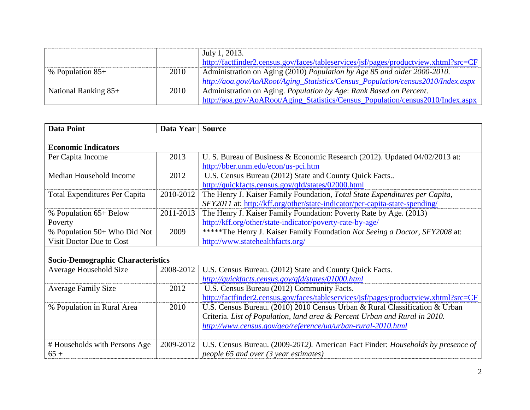|                                |      | July 1, 2013.                                                                        |
|--------------------------------|------|--------------------------------------------------------------------------------------|
|                                |      | http://factfinder2.census.gov/faces/tableservices/jsf/pages/productview.xhtml?src=CF |
| $\frac{1}{2}$ % Population 85+ | 2010 | Administration on Aging (2010) Population by Age 85 and older 2000-2010.             |
|                                |      | http://aoa.gov/AoARoot/Aging_Statistics/Census_Population/census2010/Index.aspx      |
| National Ranking $85+$         | 2010 | Administration on Aging. Population by Age: Rank Based on Percent.                   |
|                                |      | http://aoa.gov/AoARoot/Aging_Statistics/Census_Population/census2010/Index.aspx      |

| <b>Data Point</b>                    | Data Year                                | <b>Source</b>                                                                        |  |  |
|--------------------------------------|------------------------------------------|--------------------------------------------------------------------------------------|--|--|
| <b>Economic Indicators</b>           |                                          |                                                                                      |  |  |
| Per Capita Income                    | 2013                                     | U. S. Bureau of Business & Economic Research (2012). Updated 04/02/2013 at:          |  |  |
|                                      |                                          | http://bber.unm.edu/econ/us-pci.htm                                                  |  |  |
| Median Household Income              | 2012                                     | U.S. Census Bureau (2012) State and County Quick Facts                               |  |  |
|                                      |                                          | http://quickfacts.census.gov/qfd/states/02000.html                                   |  |  |
| <b>Total Expenditures Per Capita</b> | 2010-2012                                | The Henry J. Kaiser Family Foundation, Total State Expenditures per Capita,          |  |  |
|                                      |                                          | SFY2011 at: http://kff.org/other/state-indicator/per-capita-state-spending/          |  |  |
| % Population 65+ Below               | 2011-2013                                | The Henry J. Kaiser Family Foundation: Poverty Rate by Age. (2013)                   |  |  |
| Poverty                              |                                          | http://kff.org/other/state-indicator/poverty-rate-by-age/                            |  |  |
| % Population 50+ Who Did Not         | 2009                                     | *****The Henry J. Kaiser Family Foundation Not Seeing a Doctor, SFY2008 at:          |  |  |
| Visit Doctor Due to Cost             |                                          | http://www.statehealthfacts.org/                                                     |  |  |
|                                      | <b>Socio-Demographic Characteristics</b> |                                                                                      |  |  |
| Average Household Size               | 2008-2012                                | U.S. Census Bureau. (2012) State and County Quick Facts.                             |  |  |
|                                      |                                          | http://quickfacts.census.gov/qfd/states/01000.html                                   |  |  |
| <b>Average Family Size</b>           | 2012                                     | U.S. Census Bureau (2012) Community Facts.                                           |  |  |
|                                      |                                          | http://factfinder2.census.gov/faces/tableservices/jsf/pages/productview.xhtml?src=CF |  |  |
| % Population in Rural Area           | 2010                                     | U.S. Census Bureau. (2010) 2010 Census Urban & Rural Classification & Urban          |  |  |
|                                      |                                          | Criteria. List of Population, land area & Percent Urban and Rural in 2010.           |  |  |
|                                      |                                          | http://www.census.gov/geo/reference/ua/urban-rural-2010.html                         |  |  |
|                                      |                                          |                                                                                      |  |  |
| # Households with Persons Age        | 2009-2012                                | U.S. Census Bureau. (2009-2012). American Fact Finder: Households by presence of     |  |  |
| $65+$                                |                                          | people 65 and over (3 year estimates)                                                |  |  |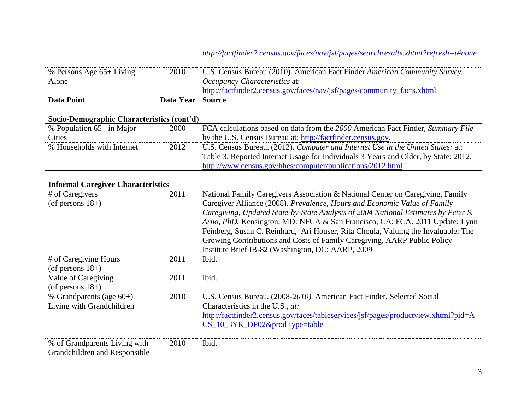|                                                                |           | http://factfinder2.census.gov/faces/nav/jsf/pages/searchresults.xhtml?refresh=t#none                                                                                                                                                                                                                                                                                                                                                                                                                                                                   |
|----------------------------------------------------------------|-----------|--------------------------------------------------------------------------------------------------------------------------------------------------------------------------------------------------------------------------------------------------------------------------------------------------------------------------------------------------------------------------------------------------------------------------------------------------------------------------------------------------------------------------------------------------------|
| % Persons Age 65+ Living<br>Alone                              | 2010      | U.S. Census Bureau (2010). American Fact Finder American Community Survey.<br>Occupancy Characteristics at:<br>http://factfinder2.census.gov/faces/nav/jsf/pages/community_facts.xhtml                                                                                                                                                                                                                                                                                                                                                                 |
| <b>Data Point</b>                                              | Data Year | <b>Source</b>                                                                                                                                                                                                                                                                                                                                                                                                                                                                                                                                          |
| Socio-Demographic Characteristics (cont'd)                     |           |                                                                                                                                                                                                                                                                                                                                                                                                                                                                                                                                                        |
| % Population 65+ in Major<br>Cities                            | 2000      | FCA calculations based on data from the 2000 American Fact Finder, Summary File<br>by the U.S. Census Bureau at: http://factfinder.census.gov.                                                                                                                                                                                                                                                                                                                                                                                                         |
| % Households with Internet                                     | 2012      | U.S. Census Bureau. (2012). Computer and Internet Use in the United States: at:<br>Table 3. Reported Internet Usage for Individuals 3 Years and Older, by State: 2012.<br>http://www.census.gov/hhes/computer/publications/2012.html                                                                                                                                                                                                                                                                                                                   |
| <b>Informal Caregiver Characteristics</b>                      |           |                                                                                                                                                                                                                                                                                                                                                                                                                                                                                                                                                        |
| # of Caregivers<br>(of persons $18+$ )                         | 2011      | National Family Caregivers Association & National Center on Caregiving, Family<br>Caregiver Alliance (2008). Prevalence, Hours and Economic Value of Family<br>Caregiving, Updated State-by-State Analysis of 2004 National Estimates by Peter S.<br>Arno, PhD. Kensington, MD: NFCA & San Francisco, CA: FCA. 2011 Update: Lynn<br>Feinberg, Susan C. Reinhard, Ari Houser, Rita Choula, Valuing the Invaluable: The<br>Growing Contributions and Costs of Family Caregiving, AARP Public Policy<br>Institute Brief IB-82 (Washington, DC: AARP, 2009 |
| # of Caregiving Hours<br>(of persons $18+$ )                   | 2011      | Ibid.                                                                                                                                                                                                                                                                                                                                                                                                                                                                                                                                                  |
| Value of Caregiving<br>(of persons $18+$ )                     | 2011      | Ibid.                                                                                                                                                                                                                                                                                                                                                                                                                                                                                                                                                  |
| % Grandparents (age $60+$ )<br>Living with Grandchildren       | 2010      | U.S. Census Bureau. (2008-2010). American Fact Finder, Selected Social<br>Characteristics in the U.S., at:<br>http://factfinder2.census.gov/faces/tableservices/jsf/pages/productview.xhtml?pid=A<br>CS_10_3YR_DP02&prodType=table                                                                                                                                                                                                                                                                                                                     |
| % of Grandparents Living with<br>Grandchildren and Responsible | 2010      | Ibid.                                                                                                                                                                                                                                                                                                                                                                                                                                                                                                                                                  |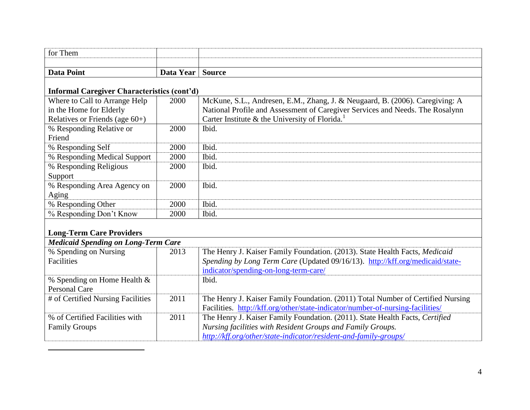| for Them                                    |           |                                                                               |  |
|---------------------------------------------|-----------|-------------------------------------------------------------------------------|--|
|                                             |           |                                                                               |  |
| <b>Data Point</b>                           | Data Year | <b>Source</b>                                                                 |  |
|                                             |           |                                                                               |  |
| Informal Caregiver Characteristics (cont'd) |           |                                                                               |  |
| Where to Call to Arrange Help               | 2000      | McKune, S.L., Andresen, E.M., Zhang, J. & Neugaard, B. (2006). Caregiving: A  |  |
| in the Home for Elderly                     |           | National Profile and Assessment of Caregiver Services and Needs. The Rosalynn |  |
| Relatives or Friends (age $60+$ )           |           | Carter Institute & the University of Florida.                                 |  |
| % Responding Relative or                    | 2000      | Ibid.                                                                         |  |
| Friend                                      |           |                                                                               |  |
| % Responding Self                           | 2000      | Ibid.                                                                         |  |
| % Responding Medical Support                | 2000      | Ibid.                                                                         |  |
| % Responding Religious                      | 2000      | Ibid.                                                                         |  |
| Support                                     |           |                                                                               |  |
| % Responding Area Agency on                 | 2000      | Ibid.                                                                         |  |
| Aging                                       |           |                                                                               |  |
| % Responding Other                          | 2000      | Ibid.                                                                         |  |
| % Responding Don't Know                     | 2000      | Ibid.                                                                         |  |
|                                             |           |                                                                               |  |
| <b>Long-Term Care Providers</b>             |           |                                                                               |  |
| <b>Medicaid Spending on Long-Term Care</b>  |           |                                                                               |  |
| % Spending on Nursing                       | 2013      | The Henry J. Kaiser Family Foundation. (2013). State Health Facts, Medicaid   |  |
| Facilities                                  |           | Spending by Long Term Care (Updated 09/16/13). http://kff.org/medicaid/state- |  |
|                                             |           | indicator/spending-on-long-term-care/                                         |  |
|                                             |           | TL 1.1                                                                        |  |

| 2013 | The Henry J. Kaiser Family Foundation. (2013). State Health Facts, Medicaid     |
|------|---------------------------------------------------------------------------------|
|      | Spending by Long Term Care (Updated 09/16/13). http://kff.org/medicaid/state-   |
|      | indicator/spending-on-long-term-care/                                           |
|      | Ibid.                                                                           |
|      |                                                                                 |
| 2011 | The Henry J. Kaiser Family Foundation. (2011) Total Number of Certified Nursing |
|      | Facilities. http://kff.org/other/state-indicator/number-of-nursing-facilities/  |
| 2011 | The Henry J. Kaiser Family Foundation. (2011). State Health Facts, Certified    |
|      | Nursing facilities with Resident Groups and Family Groups.                      |
|      | http://kff.org/other/state-indicator/resident-and-family-groups/                |
|      | <b>Medicaid Spending on Long-Term Care</b>                                      |

 $\overline{a}$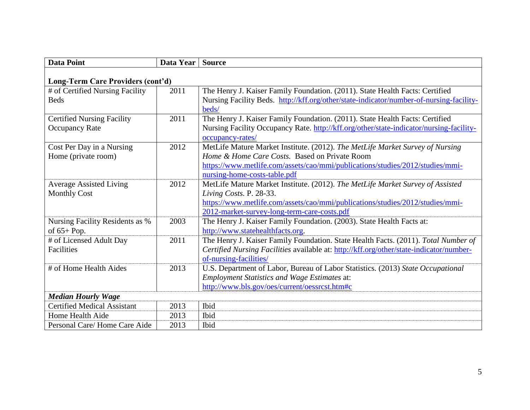| <b>Data Point</b>                                          | Data Year | <b>Source</b>                                                                                                                                                                                                                                   |  |
|------------------------------------------------------------|-----------|-------------------------------------------------------------------------------------------------------------------------------------------------------------------------------------------------------------------------------------------------|--|
| Long-Term Care Providers (cont'd)                          |           |                                                                                                                                                                                                                                                 |  |
| # of Certified Nursing Facility<br><b>Beds</b>             | 2011      | The Henry J. Kaiser Family Foundation. (2011). State Health Facts: Certified<br>Nursing Facility Beds. http://kff.org/other/state-indicator/number-of-nursing-facility-<br>beds/                                                                |  |
| <b>Certified Nursing Facility</b><br><b>Occupancy Rate</b> | 2011      | The Henry J. Kaiser Family Foundation. (2011). State Health Facts: Certified<br>Nursing Facility Occupancy Rate. http://kff.org/other/state-indicator/nursing-facility-<br>occupancy-rates/                                                     |  |
| Cost Per Day in a Nursing<br>Home (private room)           | 2012      | MetLife Mature Market Institute. (2012). The MetLife Market Survey of Nursing<br>Home & Home Care Costs. Based on Private Room<br>https://www.metlife.com/assets/cao/mmi/publications/studies/2012/studies/mmi-<br>nursing-home-costs-table.pdf |  |
| <b>Average Assisted Living</b><br><b>Monthly Cost</b>      | 2012      | MetLife Mature Market Institute. (2012). The MetLife Market Survey of Assisted<br>Living Costs. P. 28-33.<br>https://www.metlife.com/assets/cao/mmi/publications/studies/2012/studies/mmi-<br>2012-market-survey-long-term-care-costs.pdf       |  |
| <b>Nursing Facility Residents as %</b><br>of $65+Pop.$     | 2003      | The Henry J. Kaiser Family Foundation. (2003). State Health Facts at:<br>http://www.statehealthfacts.org.                                                                                                                                       |  |
| # of Licensed Adult Day<br>Facilities                      | 2011      | The Henry J. Kaiser Family Foundation. State Health Facts. (2011). Total Number of<br>Certified Nursing Facilities available at: http://kff.org/other/state-indicator/number-<br>of-nursing-facilities/                                         |  |
| # of Home Health Aides                                     | 2013      | U.S. Department of Labor, Bureau of Labor Statistics. (2013) State Occupational<br><b>Employment Statistics and Wage Estimates at:</b><br>http://www.bls.gov/oes/current/oessrcst.htm#c                                                         |  |
| <b>Median Hourly Wage</b>                                  |           |                                                                                                                                                                                                                                                 |  |
| <b>Certified Medical Assistant</b>                         | 2013      | Ibid                                                                                                                                                                                                                                            |  |
| Home Health Aide                                           | 2013      | Ibid                                                                                                                                                                                                                                            |  |
| Personal Care/Home Care Aide                               | 2013      | Ibid                                                                                                                                                                                                                                            |  |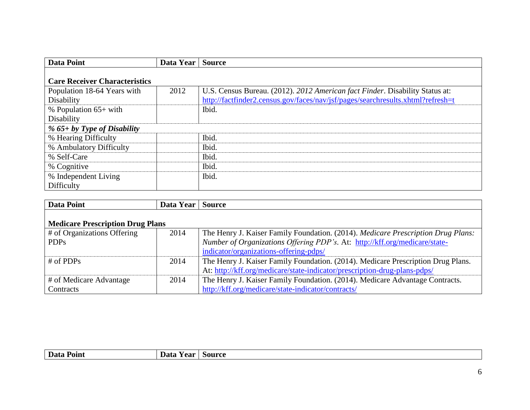| <b>Data Point</b>                    | Data Year | <b>Source</b>                                                                   |
|--------------------------------------|-----------|---------------------------------------------------------------------------------|
|                                      |           |                                                                                 |
| <b>Care Receiver Characteristics</b> |           |                                                                                 |
| Population 18-64 Years with          | 2012      | U.S. Census Bureau. (2012). 2012 American fact Finder. Disability Status at:    |
| Disability                           |           | http://factfinder2.census.gov/faces/nav/jsf/pages/searchresults.xhtml?refresh=t |
| % Population $65+$ with              |           | Ibid.                                                                           |
| Disability                           |           |                                                                                 |
| % $65 + by Type$ of Disability       |           |                                                                                 |
| % Hearing Difficulty                 |           | Ibid.                                                                           |
| % Ambulatory Difficulty              |           | Ibid.                                                                           |
| % Self-Care                          |           | Ibid.                                                                           |
| % Cognitive                          |           | Ibid.                                                                           |
| % Independent Living                 |           | Ibid.                                                                           |
| Difficulty                           |           |                                                                                 |

| Data Point                              | Data Year | <b>Source</b>                                                                           |
|-----------------------------------------|-----------|-----------------------------------------------------------------------------------------|
|                                         |           |                                                                                         |
| <b>Medicare Prescription Drug Plans</b> |           |                                                                                         |
| $\#$ of Organizations Offering          | 2014      | The Henry J. Kaiser Family Foundation. (2014). <i>Medicare Prescription Drug Plans:</i> |
| <b>PDPs</b>                             |           | Number of Organizations Offering PDP's. At: http://kff.org/medicare/state-              |
|                                         |           | indicator/organizations-offering-pdps/                                                  |
| $\#$ of PDPs                            | 2014      | The Henry J. Kaiser Family Foundation. (2014). Medicare Prescription Drug Plans.        |
|                                         |           | At: http://kff.org/medicare/state-indicator/prescription-drug-plans-pdps/               |
| # of Medicare Advantage                 | 2014      | The Henry J. Kaiser Family Foundation. (2014). Medicare Advantage Contracts.            |
| Contracts                               |           | http://kff.org/medicare/state-indicator/contracts/                                      |

| Data F<br>Point | Data<br>Year | Source |
|-----------------|--------------|--------|
|                 |              |        |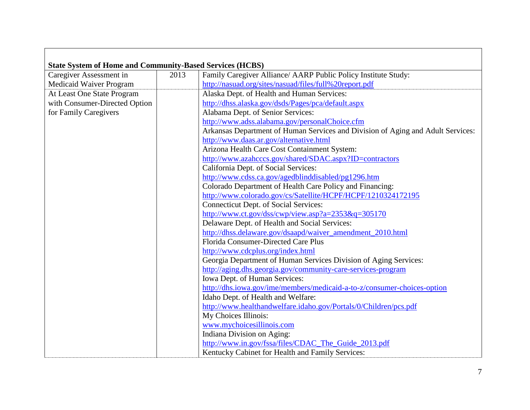| <b>State System of Home and Community-Based Services (HCBS)</b> |      |                                                                                 |
|-----------------------------------------------------------------|------|---------------------------------------------------------------------------------|
| Caregiver Assessment in                                         | 2013 | Family Caregiver Alliance/ AARP Public Policy Institute Study:                  |
| Medicaid Waiver Program                                         |      | http://nasuad.org/sites/nasuad/files/full%20report.pdf                          |
| At Least One State Program                                      |      | Alaska Dept. of Health and Human Services:                                      |
| with Consumer-Directed Option                                   |      | http://dhss.alaska.gov/dsds/Pages/pca/default.aspx                              |
| for Family Caregivers                                           |      | Alabama Dept. of Senior Services:                                               |
|                                                                 |      | http://www.adss.alabama.gov/personalChoice.cfm                                  |
|                                                                 |      | Arkansas Department of Human Services and Division of Aging and Adult Services: |
|                                                                 |      | http://www.daas.ar.gov/alternative.html                                         |
|                                                                 |      | Arizona Health Care Cost Containment System:                                    |
|                                                                 |      | http://www.azahcccs.gov/shared/SDAC.aspx?ID=contractors                         |
|                                                                 |      | California Dept. of Social Services:                                            |
|                                                                 |      | http://www.cdss.ca.gov/agedblinddisabled/pg1296.htm                             |
|                                                                 |      | Colorado Department of Health Care Policy and Financing:                        |
|                                                                 |      | http://www.colorado.gov/cs/Satellite/HCPF/HCPF/1210324172195                    |
|                                                                 |      | Connecticut Dept. of Social Services:                                           |
|                                                                 |      | http://www.ct.gov/dss/cwp/view.asp?a= $2353\&q=305170$                          |
|                                                                 |      | Delaware Dept. of Health and Social Services:                                   |
|                                                                 |      | http://dhss.delaware.gov/dsaapd/waiver_amendment_2010.html                      |
|                                                                 |      | Florida Consumer-Directed Care Plus                                             |
|                                                                 |      | http://www.cdcplus.org/index.html                                               |
|                                                                 |      | Georgia Department of Human Services Division of Aging Services:                |
|                                                                 |      | http://aging.dhs.georgia.gov/community-care-services-program                    |
|                                                                 |      | Iowa Dept. of Human Services:                                                   |
|                                                                 |      | http://dhs.iowa.gov/ime/members/medicaid-a-to-z/consumer-choices-option         |
|                                                                 |      | Idaho Dept. of Health and Welfare:                                              |
|                                                                 |      | http://www.healthandwelfare.idaho.gov/Portals/0/Children/pcs.pdf                |
|                                                                 |      | My Choices Illinois:                                                            |
|                                                                 |      | www.mychoicesillinois.com                                                       |
|                                                                 |      | Indiana Division on Aging:                                                      |
|                                                                 |      | http://www.in.gov/fssa/files/CDAC_The_Guide_2013.pdf                            |
|                                                                 |      | Kentucky Cabinet for Health and Family Services:                                |

 $\Box$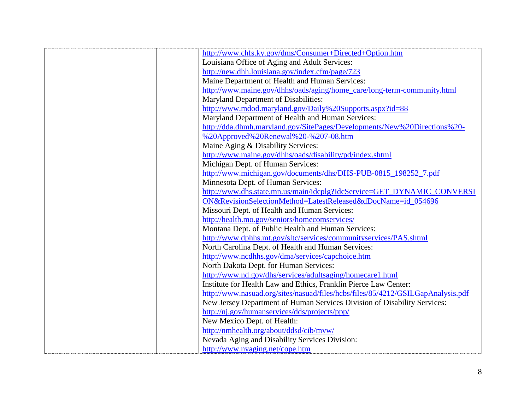| http://www.chfs.ky.gov/dms/Consumer+Directed+Option.htm                         |
|---------------------------------------------------------------------------------|
| Louisiana Office of Aging and Adult Services:                                   |
| http://new.dhh.louisiana.gov/index.cfm/page/723                                 |
| Maine Department of Health and Human Services:                                  |
| http://www.maine.gov/dhhs/oads/aging/home_care/long-term-community.html         |
| Maryland Department of Disabilities:                                            |
| http://www.mdod.maryland.gov/Daily%20Supports.aspx?id=88                        |
| Maryland Department of Health and Human Services:                               |
| http://dda.dhmh.maryland.gov/SitePages/Developments/New%20Directions%20-        |
| %20Approved%20Renewal%20-%207-08.htm                                            |
| Maine Aging & Disability Services:                                              |
| http://www.maine.gov/dhhs/oads/disability/pd/index.shtml                        |
| Michigan Dept. of Human Services:                                               |
| http://www.michigan.gov/documents/dhs/DHS-PUB-0815_198252_7.pdf                 |
| Minnesota Dept. of Human Services:                                              |
| http://www.dhs.state.mn.us/main/idcplg?IdcService=GET_DYNAMIC_CONVERSI          |
| ON&RevisionSelectionMethod=LatestReleased&dDocName=id_054696                    |
| Missouri Dept. of Health and Human Services:                                    |
| http://health.mo.gov/seniors/homecomservices/                                   |
| Montana Dept. of Public Health and Human Services:                              |
| http://www.dphhs.mt.gov/sltc/services/communityservices/PAS.shtml               |
| North Carolina Dept. of Health and Human Services:                              |
| http://www.ncdhhs.gov/dma/services/capchoice.htm                                |
| North Dakota Dept. for Human Services:                                          |
| http://www.nd.gov/dhs/services/adultsaging/homecare1.html                       |
| Institute for Health Law and Ethics, Franklin Pierce Law Center:                |
| http://www.nasuad.org/sites/nasuad/files/hcbs/files/85/4212/GSILGapAnalysis.pdf |
| New Jersey Department of Human Services Division of Disability Services:        |
| http://nj.gov/humanservices/dds/projects/ppp/                                   |
| New Mexico Dept. of Health:                                                     |
| http://nmhealth.org/about/ddsd/cib/mvw/                                         |
| Nevada Aging and Disability Services Division:                                  |
| http://www.nvaging.net/cope.htm                                                 |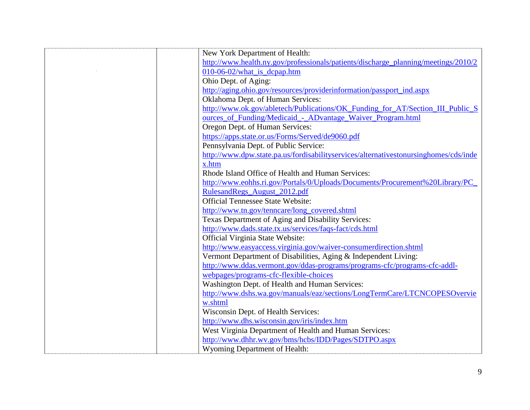| New York Department of Health:                                                       |
|--------------------------------------------------------------------------------------|
| http://www.health.ny.gov/professionals/patients/discharge_planning/meetings/2010/2   |
| $010-06-02$ /what is depap.htm                                                       |
| Ohio Dept. of Aging:                                                                 |
| http://aging.ohio.gov/resources/providerinformation/passport_ind.aspx                |
| Oklahoma Dept. of Human Services:                                                    |
| http://www.ok.gov/abletech/Publications/OK_Funding_for_AT/Section_III_Public_S       |
| ources_of_Funding/Medicaid_-_ADvantage_Waiver_Program.html                           |
| Oregon Dept. of Human Services:                                                      |
| https://apps.state.or.us/Forms/Served/de9060.pdf                                     |
| Pennsylvania Dept. of Public Service:                                                |
| http://www.dpw.state.pa.us/fordisabilityservices/alternativestonursinghomes/cds/inde |
| x.htm                                                                                |
| Rhode Island Office of Health and Human Services:                                    |
| http://www.eohhs.ri.gov/Portals/0/Uploads/Documents/Procurement%20Library/PC_        |
| RulesandRegs_August_2012.pdf                                                         |
| <b>Official Tennessee State Website:</b>                                             |
| http://www.tn.gov/tenncare/long_covered.shtml                                        |
| Texas Department of Aging and Disability Services:                                   |
| http://www.dads.state.tx.us/services/faqs-fact/cds.html                              |
| Official Virginia State Website:                                                     |
| http://www.easyaccess.virginia.gov/waiver-consumerdirection.shtml                    |
| Vermont Department of Disabilities, Aging & Independent Living:                      |
| http://www.ddas.vermont.gov/ddas-programs/programs-cfc/programs-cfc-addl-            |
| webpages/programs-cfc-flexible-choices                                               |
| Washington Dept. of Health and Human Services:                                       |
| http://www.dshs.wa.gov/manuals/eaz/sections/LongTermCare/LTCNCOPESOvervie            |
| w.shtml                                                                              |
| Wisconsin Dept. of Health Services:                                                  |
| http://www.dhs.wisconsin.gov/iris/index.htm                                          |
| West Virginia Department of Health and Human Services:                               |
| http://www.dhhr.wv.gov/bms/hcbs/IDD/Pages/SDTPO.aspx                                 |
| Wyoming Department of Health:                                                        |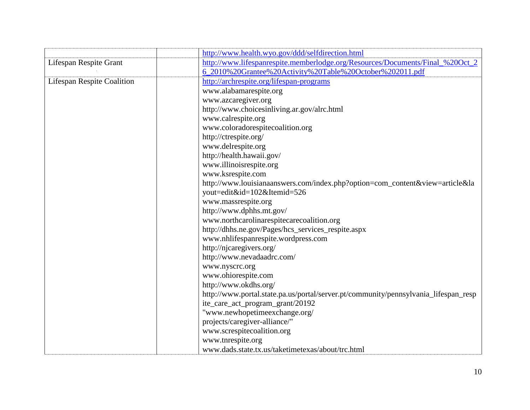|                                   | http://www.health.wyo.gov/ddd/selfdirection.html                                    |
|-----------------------------------|-------------------------------------------------------------------------------------|
| Lifespan Respite Grant            | http://www.lifespanrespite.memberlodge.org/Resources/Documents/Final_%20Oct_2       |
|                                   | 6_2010%20Grantee%20Activity%20Table%20October%202011.pdf                            |
| <b>Lifespan Respite Coalition</b> | http://archrespite.org/lifespan-programs                                            |
|                                   | www.alabamarespite.org                                                              |
|                                   | www.azcaregiver.org                                                                 |
|                                   | http://www.choicesinliving.ar.gov/alrc.html                                         |
|                                   | www.calrespite.org                                                                  |
|                                   | www.coloradorespitecoalition.org                                                    |
|                                   | http://ctrespite.org/                                                               |
|                                   | www.delrespite.org                                                                  |
|                                   | http://health.hawaii.gov/                                                           |
|                                   | www.illinoisrespite.org                                                             |
|                                   | www.ksrespite.com                                                                   |
|                                   | http://www.louisianaanswers.com/index.php?option=com_content&view=article&la        |
|                                   | yout=edit&id=102&Itemid=526                                                         |
|                                   | www.massrespite.org                                                                 |
|                                   | http://www.dphhs.mt.gov/                                                            |
|                                   | www.northcarolinarespitecarecoalition.org                                           |
|                                   | http://dhhs.ne.gov/Pages/hcs_services_respite.aspx                                  |
|                                   | www.nhlifespanrespite.wordpress.com                                                 |
|                                   | http://njcaregivers.org/                                                            |
|                                   | http://www.nevadaadrc.com/                                                          |
|                                   | www.nyscrc.org                                                                      |
|                                   | www.ohiorespite.com                                                                 |
|                                   | http://www.okdhs.org/                                                               |
|                                   | http://www.portal.state.pa.us/portal/server.pt/community/pennsylvania_lifespan_resp |
|                                   | ite_care_act_program_grant/20192                                                    |
|                                   | "www.newhopetimeexchange.org/                                                       |
|                                   | projects/caregiver-alliance/"                                                       |
|                                   | www.screspitecoalition.org                                                          |
|                                   | www.tnrespite.org                                                                   |
|                                   | www.dads.state.tx.us/taketimetexas/about/trc.html                                   |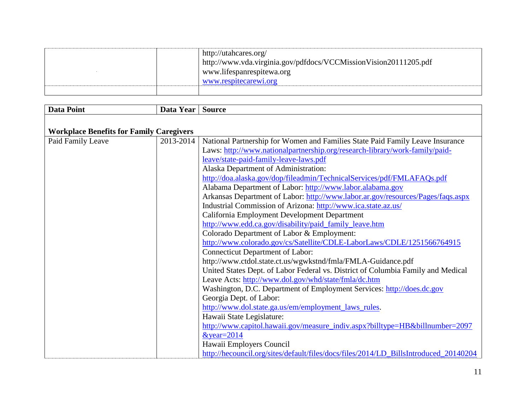|  | http://utahcares.org/<br>http://www.vda.virginia.gov/pdfdocs/VCCMissionVision20111205.pdf<br>www.lifespanrespitewa.org<br>www.respitecarewi.org |
|--|-------------------------------------------------------------------------------------------------------------------------------------------------|
|  |                                                                                                                                                 |

| <b>Data Point</b>                               | Data Year | <b>Source</b>                                                                        |
|-------------------------------------------------|-----------|--------------------------------------------------------------------------------------|
|                                                 |           |                                                                                      |
| <b>Workplace Benefits for Family Caregivers</b> |           |                                                                                      |
| Paid Family Leave                               | 2013-2014 | National Partnership for Women and Families State Paid Family Leave Insurance        |
|                                                 |           | Laws: http://www.nationalpartnership.org/research-library/work-family/paid-          |
|                                                 |           | leave/state-paid-family-leave-laws.pdf                                               |
|                                                 |           | Alaska Department of Administration:                                                 |
|                                                 |           | http://doa.alaska.gov/dop/fileadmin/TechnicalServices/pdf/FMLAFAQs.pdf               |
|                                                 |           | Alabama Department of Labor: http://www.labor.alabama.gov                            |
|                                                 |           | Arkansas Department of Labor: http://www.labor.ar.gov/resources/Pages/faqs.aspx      |
|                                                 |           | Industrial Commission of Arizona: http://www.ica.state.az.us/                        |
|                                                 |           | California Employment Development Department                                         |
|                                                 |           | http://www.edd.ca.gov/disability/paid_family_leave.htm                               |
|                                                 |           | Colorado Department of Labor & Employment:                                           |
|                                                 |           | http://www.colorado.gov/cs/Satellite/CDLE-LaborLaws/CDLE/1251566764915               |
|                                                 |           | <b>Connecticut Department of Labor:</b>                                              |
|                                                 |           | http://www.ctdol.state.ct.us/wgwkstnd/fmla/FMLA-Guidance.pdf                         |
|                                                 |           | United States Dept. of Labor Federal vs. District of Columbia Family and Medical     |
|                                                 |           | Leave Acts: http://www.dol.gov/whd/state/fmla/dc.htm                                 |
|                                                 |           | Washington, D.C. Department of Employment Services: http://does.dc.gov               |
|                                                 |           | Georgia Dept. of Labor:                                                              |
|                                                 |           | http://www.dol.state.ga.us/em/employment_laws_rules.                                 |
|                                                 |           | Hawaii State Legislature:                                                            |
|                                                 |           | http://www.capitol.hawaii.gov/measure_indiv.aspx?billtype=HB&billnumber=2097         |
|                                                 |           | $&$ year=2014                                                                        |
|                                                 |           | Hawaii Employers Council                                                             |
|                                                 |           | http://hecouncil.org/sites/default/files/docs/files/2014/LD_BillsIntroduced_20140204 |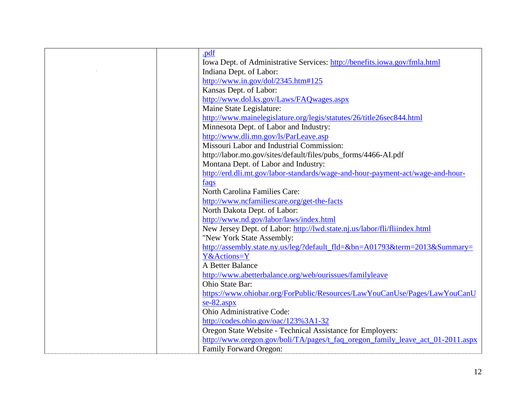|  | .pdf                                                                           |
|--|--------------------------------------------------------------------------------|
|  | Iowa Dept. of Administrative Services: http://benefits.iowa.gov/fmla.html      |
|  | Indiana Dept. of Labor:                                                        |
|  | http://www.in.gov/dol/2345.htm#125                                             |
|  | Kansas Dept. of Labor:                                                         |
|  | http://www.dol.ks.gov/Laws/FAQwages.aspx                                       |
|  | Maine State Legislature:                                                       |
|  | http://www.mainelegislature.org/legis/statutes/26/title26sec844.html           |
|  | Minnesota Dept. of Labor and Industry:                                         |
|  | http://www.dli.mn.gov/ls/ParLeave.asp                                          |
|  | Missouri Labor and Industrial Commission:                                      |
|  | http://labor.mo.gov/sites/default/files/pubs_forms/4466-AI.pdf                 |
|  | Montana Dept. of Labor and Industry:                                           |
|  | http://erd.dli.mt.gov/labor-standards/wage-and-hour-payment-act/wage-and-hour- |
|  | faqs                                                                           |
|  | North Carolina Families Care:                                                  |
|  | http://www.ncfamiliescare.org/get-the-facts                                    |
|  | North Dakota Dept. of Labor:                                                   |
|  | http://www.nd.gov/labor/laws/index.html                                        |
|  | New Jersey Dept. of Labor: http://lwd.state.nj.us/labor/fli/fliindex.html      |
|  | "New York State Assembly:                                                      |
|  | http://assembly.state.ny.us/leg/?default_fld=&bn=A01793&term=2013&Summary=     |
|  | Y&Actions=Y                                                                    |
|  | A Better Balance                                                               |
|  | http://www.abetterbalance.org/web/ourissues/familyleave                        |
|  | Ohio State Bar:                                                                |
|  | https://www.ohiobar.org/ForPublic/Resources/LawYouCanUse/Pages/LawYouCanU      |
|  | $se-82.$ aspx                                                                  |
|  | Ohio Administrative Code:                                                      |
|  | http://codes.ohio.gov/oac/123%3A1-32                                           |
|  | Oregon State Website - Technical Assistance for Employers:                     |
|  | http://www.oregon.gov/boli/TA/pages/t_faq_oregon_family_leave_act_01-2011.aspx |
|  | <b>Family Forward Oregon:</b>                                                  |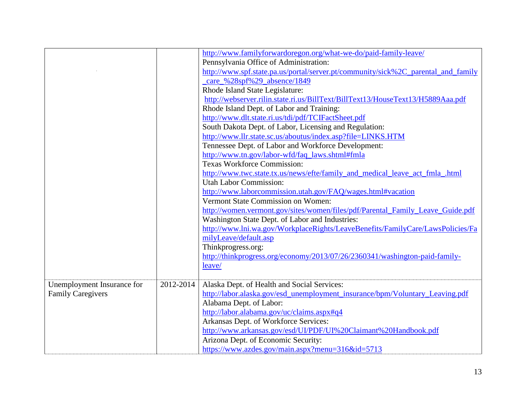|                            |           | http://www.familyforwardoregon.org/what-we-do/paid-family-leave/                  |
|----------------------------|-----------|-----------------------------------------------------------------------------------|
|                            |           | Pennsylvania Office of Administration:                                            |
|                            |           | http://www.spf.state.pa.us/portal/server.pt/community/sick%2C_parental_and_family |
|                            |           | care %28spf%29 absence/1849                                                       |
|                            |           | Rhode Island State Legislature:                                                   |
|                            |           | http://webserver.rilin.state.ri.us/BillText/BillText13/HouseText13/H5889Aaa.pdf   |
|                            |           | Rhode Island Dept. of Labor and Training:                                         |
|                            |           | http://www.dlt.state.ri.us/tdi/pdf/TCIFactSheet.pdf                               |
|                            |           | South Dakota Dept. of Labor, Licensing and Regulation:                            |
|                            |           | http://www.llr.state.sc.us/aboutus/index.asp?file=LINKS.HTM                       |
|                            |           | Tennessee Dept. of Labor and Workforce Development:                               |
|                            |           | http://www.tn.gov/labor-wfd/faq_laws.shtml#fmla                                   |
|                            |           | <b>Texas Workforce Commission:</b>                                                |
|                            |           | http://www.twc.state.tx.us/news/efte/family_and_medical_leave_act_fmla_.html      |
|                            |           | <b>Utah Labor Commission:</b>                                                     |
|                            |           | http://www.laborcommission.utah.gov/FAQ/wages.html#vacation                       |
|                            |           | Vermont State Commission on Women:                                                |
|                            |           | http://women.vermont.gov/sites/women/files/pdf/Parental_Family_Leave_Guide.pdf    |
|                            |           | Washington State Dept. of Labor and Industries:                                   |
|                            |           | http://www.lni.wa.gov/WorkplaceRights/LeaveBenefits/FamilyCare/LawsPolicies/Fa    |
|                            |           | milyLeave/default.asp                                                             |
|                            |           | Thinkprogress.org:                                                                |
|                            |           | http://thinkprogress.org/economy/2013/07/26/2360341/washington-paid-family-       |
|                            |           | leave/                                                                            |
|                            |           |                                                                                   |
| Unemployment Insurance for | 2012-2014 | Alaska Dept. of Health and Social Services:                                       |
| <b>Family Caregivers</b>   |           | http://labor.alaska.gov/esd_unemployment_insurance/bpm/Voluntary_Leaving.pdf      |
|                            |           | Alabama Dept. of Labor:                                                           |
|                            |           | http://labor.alabama.gov/uc/claims.aspx#q4                                        |
|                            |           | Arkansas Dept. of Workforce Services:                                             |
|                            |           | http://www.arkansas.gov/esd/UI/PDF/UI%20Claimant%20Handbook.pdf                   |
|                            |           | Arizona Dept. of Economic Security:                                               |
|                            |           | https://www.azdes.gov/main.aspx?menu=316&id=5713                                  |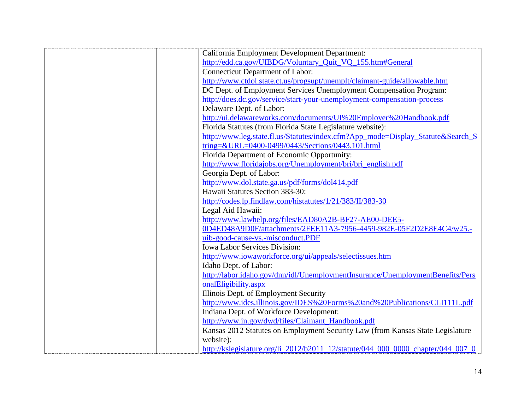| California Employment Development Department:                                    |
|----------------------------------------------------------------------------------|
| http://edd.ca.gov/UIBDG/Voluntary_Quit_VQ_155.htm#General                        |
| <b>Connecticut Department of Labor:</b>                                          |
| http://www.ctdol.state.ct.us/progsupt/unemplt/claimant-guide/allowable.htm       |
| DC Dept. of Employment Services Unemployment Compensation Program:               |
| http://does.dc.gov/service/start-your-unemployment-compensation-process          |
| Delaware Dept. of Labor:                                                         |
| http://ui.delawareworks.com/documents/UI%20Employer%20Handbook.pdf               |
| Florida Statutes (from Florida State Legislature website):                       |
| http://www.leg.state.fl.us/Statutes/index.cfm?App_mode=Display_Statute&Search_S  |
| tring=&URL=0400-0499/0443/Sections/0443.101.html                                 |
| Florida Department of Economic Opportunity:                                      |
| http://www.floridajobs.org/Unemployment/bri/bri_english.pdf                      |
| Georgia Dept. of Labor:                                                          |
| http://www.dol.state.ga.us/pdf/forms/dol414.pdf                                  |
| Hawaii Statutes Section 383-30:                                                  |
| http://codes.lp.findlaw.com/histatutes/1/21/383/II/383-30                        |
| Legal Aid Hawaii:                                                                |
| http://www.lawhelp.org/files/EAD80A2B-BF27-AE00-DEE5-                            |
| 0D4ED48A9D0F/attachments/2FEE11A3-7956-4459-982E-05F2D2E8E4C4/w25.-              |
| uib-good-cause-vs.-misconduct.PDF                                                |
| <b>Iowa Labor Services Division:</b>                                             |
| http://www.iowaworkforce.org/ui/appeals/selectissues.htm                         |
| Idaho Dept. of Labor:                                                            |
| http://labor.idaho.gov/dnn/idl/UnemploymentInsurance/UnemploymentBenefits/Pers   |
| onalEligibility.aspx                                                             |
| Illinois Dept. of Employment Security                                            |
| http://www.ides.illinois.gov/IDES%20Forms%20and%20Publications/CLI111L.pdf       |
| Indiana Dept. of Workforce Development:                                          |
| http://www.in.gov/dwd/files/Claimant_Handbook.pdf                                |
| Kansas 2012 Statutes on Employment Security Law (from Kansas State Legislature   |
| website):                                                                        |
| http://kslegislature.org/li 2012/b2011 12/statute/044 000 0000 chapter/044 007 0 |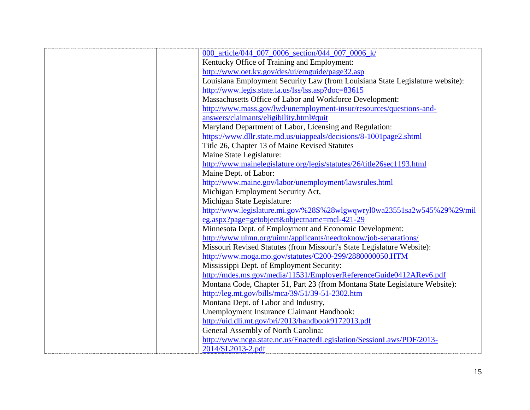| 000_article/044_007_0006_section/044_007_0006_k/                              |
|-------------------------------------------------------------------------------|
| Kentucky Office of Training and Employment:                                   |
| http://www.oet.ky.gov/des/ui/emguide/page32.asp                               |
| Louisiana Employment Security Law (from Louisiana State Legislature website): |
| http://www.legis.state.la.us/lss/lss.asp?doc=83615                            |
| Massachusetts Office of Labor and Workforce Development:                      |
| http://www.mass.gov/lwd/unemployment-insur/resources/questions-and-           |
| answers/claimants/eligibility.html#quit                                       |
| Maryland Department of Labor, Licensing and Regulation:                       |
| https://www.dllr.state.md.us/uiappeals/decisions/8-1001page2.shtml            |
| Title 26, Chapter 13 of Maine Revised Statutes                                |
| Maine State Legislature:                                                      |
| http://www.mainelegislature.org/legis/statutes/26/title26sec1193.html         |
| Maine Dept. of Labor:                                                         |
| http://www.maine.gov/labor/unemployment/lawsrules.html                        |
| Michigan Employment Security Act,                                             |
| Michigan State Legislature:                                                   |
| http://www.legislature.mi.gov/%28S%28wlgwqwryl0wa23551sa2w545%29%29/mil       |
| eg.aspx?page=getobject&objectname=mcl-421-29                                  |
| Minnesota Dept. of Employment and Economic Development:                       |
| http://www.uimn.org/uimn/applicants/needtoknow/job-separations/               |
| Missouri Revised Statutes (from Missouri's State Legislature Website):        |
| http://www.moga.mo.gov/statutes/C200-299/2880000050.HTM                       |
| Mississippi Dept. of Employment Security:                                     |
| http://mdes.ms.gov/media/11531/EmployerReferenceGuide0412ARev6.pdf            |
| Montana Code, Chapter 51, Part 23 (from Montana State Legislature Website):   |
| http://leg.mt.gov/bills/mca/39/51/39-51-2302.htm                              |
| Montana Dept. of Labor and Industry,                                          |
| Unemployment Insurance Claimant Handbook:                                     |
| http://uid.dli.mt.gov/bri/2013/handbook9172013.pdf                            |
| General Assembly of North Carolina:                                           |
| http://www.ncga.state.nc.us/EnactedLegislation/SessionLaws/PDF/2013-          |
| 2014/SL2013-2.pdf                                                             |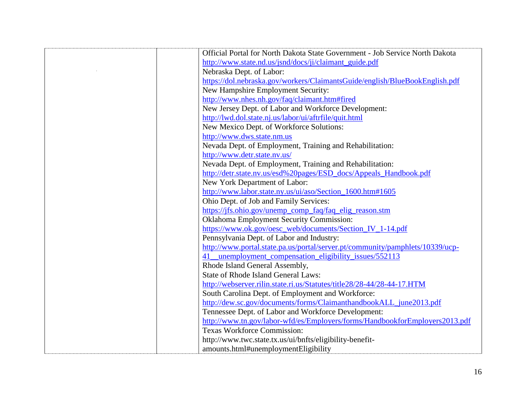| Official Portal for North Dakota State Government - Job Service North Dakota  |
|-------------------------------------------------------------------------------|
| http://www.state.nd.us/jsnd/docs/ji/claimant_guide.pdf                        |
| Nebraska Dept. of Labor:                                                      |
| https://dol.nebraska.gov/workers/ClaimantsGuide/english/BlueBookEnglish.pdf   |
| New Hampshire Employment Security:                                            |
| http://www.nhes.nh.gov/faq/claimant.htm#fired                                 |
| New Jersey Dept. of Labor and Workforce Development:                          |
| http://lwd.dol.state.nj.us/labor/ui/aftrfile/quit.html                        |
| New Mexico Dept. of Workforce Solutions:                                      |
| http://www.dws.state.nm.us                                                    |
| Nevada Dept. of Employment, Training and Rehabilitation:                      |
| http://www.detr.state.nv.us/                                                  |
| Nevada Dept. of Employment, Training and Rehabilitation:                      |
| http://detr.state.nv.us/esd%20pages/ESD_docs/Appeals_Handbook.pdf             |
| New York Department of Labor:                                                 |
| http://www.labor.state.ny.us/ui/aso/Section_1600.htm#1605                     |
| Ohio Dept. of Job and Family Services:                                        |
| https://jfs.ohio.gov/unemp_comp_faq/faq_elig_reason.stm                       |
| Oklahoma Employment Security Commission:                                      |
| https://www.ok.gov/oesc_web/documents/Section_IV_1-14.pdf                     |
| Pennsylvania Dept. of Labor and Industry:                                     |
| http://www.portal.state.pa.us/portal/server.pt/community/pamphlets/10339/ucp- |
| unemployment_compensation_eligibility_issues/552113<br>41                     |
| Rhode Island General Assembly,                                                |
| State of Rhode Island General Laws:                                           |
| http://webserver.rilin.state.ri.us/Statutes/title28/28-44/28-44-17.HTM        |
| South Carolina Dept. of Employment and Workforce:                             |
| http://dew.sc.gov/documents/forms/ClaimanthandbookALL_june2013.pdf            |
| Tennessee Dept. of Labor and Workforce Development:                           |
| http://www.tn.gov/labor-wfd/es/Employers/forms/HandbookforEmployers2013.pdf   |
| <b>Texas Workforce Commission:</b>                                            |
| http://www.twc.state.tx.us/ui/bnfts/eligibility-benefit-                      |
| amounts.html#unemploymentEligibility                                          |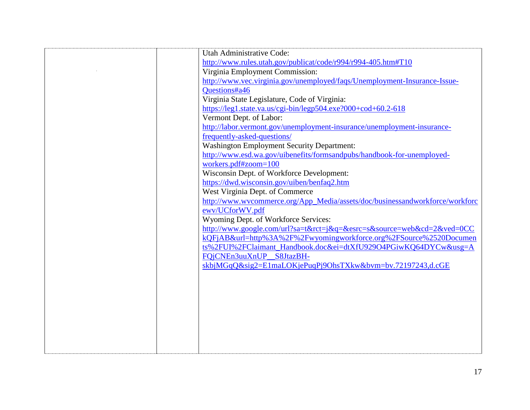| Utah Administrative Code:                                                    |
|------------------------------------------------------------------------------|
| http://www.rules.utah.gov/publicat/code/r994/r994-405.htm#T10                |
| Virginia Employment Commission:                                              |
| http://www.vec.virginia.gov/unemployed/faqs/Unemployment-Insurance-Issue-    |
| Questions#a46                                                                |
| Virginia State Legislature, Code of Virginia:                                |
| https://leg1.state.va.us/cgi-bin/legp504.exe?000+cod+60.2-618                |
| Vermont Dept. of Labor:                                                      |
|                                                                              |
| http://labor.vermont.gov/unemployment-insurance/unemployment-insurance-      |
| frequently-asked-questions/                                                  |
| <b>Washington Employment Security Department:</b>                            |
| http://www.esd.wa.gov/uibenefits/formsandpubs/handbook-for-unemployed-       |
| workers.pdf#zoom=100                                                         |
| Wisconsin Dept. of Workforce Development:                                    |
| https://dwd.wisconsin.gov/uiben/benfaq2.htm                                  |
| West Virginia Dept. of Commerce                                              |
| http://www.wvcommerce.org/App_Media/assets/doc/businessandworkforce/workforc |
| ewv/UCforWV.pdf                                                              |
| Wyoming Dept. of Workforce Services:                                         |
| http://www.google.com/url?sa=t&rct=j&q=&esrc=s&source=web&cd=2&ved=0CC       |
| kQFjAB&url=http%3A%2F%2Fwyomingworkforce.org%2FSource%2520Documen            |
| ts%2FUI%2FClaimant_Handbook.doc&ei=dtXfU929O4PGiwKQ64DYCw&usg=A              |
| FQjCNEn3uuXnUP_S8JtazBH-                                                     |
| skbjMGqQ&sig2=E1maLOKjePuqPj9OhsTXkw&bvm=bv.72197243,d.cGE                   |
|                                                                              |
|                                                                              |
|                                                                              |
|                                                                              |
|                                                                              |
|                                                                              |
|                                                                              |
|                                                                              |
|                                                                              |
|                                                                              |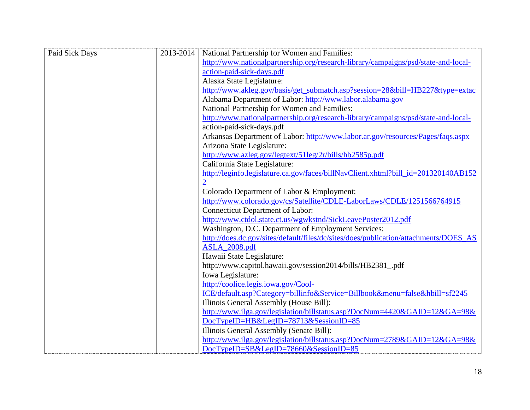| Paid Sick Days | 2013-2014 | National Partnership for Women and Families:                                         |
|----------------|-----------|--------------------------------------------------------------------------------------|
|                |           | http://www.nationalpartnership.org/research-library/campaigns/psd/state-and-local-   |
|                |           | action-paid-sick-days.pdf                                                            |
|                |           | Alaska State Legislature:                                                            |
|                |           | http://www.akleg.gov/basis/get_submatch.asp?session=28&bill=HB227&type=extac         |
|                |           | Alabama Department of Labor: http://www.labor.alabama.gov                            |
|                |           | National Partnership for Women and Families:                                         |
|                |           | http://www.nationalpartnership.org/research-library/campaigns/psd/state-and-local-   |
|                |           | action-paid-sick-days.pdf                                                            |
|                |           | Arkansas Department of Labor: http://www.labor.ar.gov/resources/Pages/faqs.aspx      |
|                |           | Arizona State Legislature:                                                           |
|                |           | http://www.azleg.gov/legtext/51leg/2r/bills/hb2585p.pdf                              |
|                |           | California State Legislature:                                                        |
|                |           | http://leginfo.legislature.ca.gov/faces/billNavClient.xhtml?bill_id=201320140AB152   |
|                |           |                                                                                      |
|                |           | Colorado Department of Labor & Employment:                                           |
|                |           | http://www.colorado.gov/cs/Satellite/CDLE-LaborLaws/CDLE/1251566764915               |
|                |           | <b>Connecticut Department of Labor:</b>                                              |
|                |           | http://www.ctdol.state.ct.us/wgwkstnd/SickLeavePoster2012.pdf                        |
|                |           | Washington, D.C. Department of Employment Services:                                  |
|                |           | http://does.dc.gov/sites/default/files/dc/sites/does/publication/attachments/DOES_AS |
|                |           | <b>ASLA_2008.pdf</b>                                                                 |
|                |           | Hawaii State Legislature:                                                            |
|                |           | http://www.capitol.hawaii.gov/session2014/bills/HB2381_.pdf                          |
|                |           | Iowa Legislature:                                                                    |
|                |           | http://coolice.legis.iowa.gov/Cool-                                                  |
|                |           | ICE/default.asp?Category=billinfo&Service=Billbook&menu=false&hbill=sf2245           |
|                |           | Illinois General Assembly (House Bill):                                              |
|                |           | http://www.ilga.gov/legislation/billstatus.asp?DocNum=4420&GAID=12&GA=98&            |
|                |           | DocTypeID=HB&LegID=78713&SessionID=85                                                |
|                |           | Illinois General Assembly (Senate Bill):                                             |
|                |           | http://www.ilga.gov/legislation/billstatus.asp?DocNum=2789&GAID=12&GA=98&            |
|                |           | DocTypeID=SB&LegID=78660&SessionID=85                                                |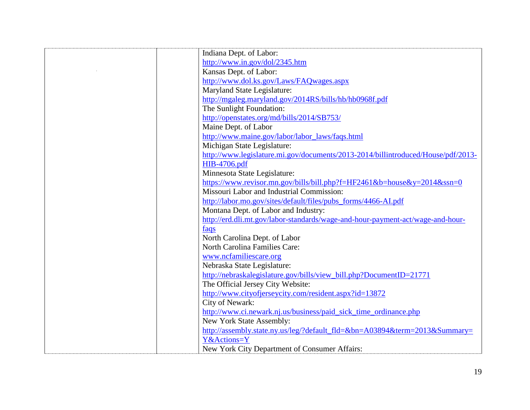| Indiana Dept. of Labor:                                                          |
|----------------------------------------------------------------------------------|
| http://www.in.gov/dol/2345.htm                                                   |
| Kansas Dept. of Labor:                                                           |
| http://www.dol.ks.gov/Laws/FAQwages.aspx                                         |
| Maryland State Legislature:                                                      |
| http://mgaleg.maryland.gov/2014RS/bills/hb/hb0968f.pdf                           |
| The Sunlight Foundation:                                                         |
| http://openstates.org/md/bills/2014/SB753/                                       |
| Maine Dept. of Labor                                                             |
| http://www.maine.gov/labor/labor_laws/faqs.html                                  |
| Michigan State Legislature:                                                      |
| http://www.legislature.mi.gov/documents/2013-2014/billintroduced/House/pdf/2013- |
| HIB-4706.pdf                                                                     |
| Minnesota State Legislature:                                                     |
| https://www.revisor.mn.gov/bills/bill.php?f=HF2461&b=house&y=2014&ssn=0          |
| Missouri Labor and Industrial Commission:                                        |
| http://labor.mo.gov/sites/default/files/pubs_forms/4466-AI.pdf                   |
| Montana Dept. of Labor and Industry:                                             |
| http://erd.dli.mt.gov/labor-standards/wage-and-hour-payment-act/wage-and-hour-   |
| faqs                                                                             |
| North Carolina Dept. of Labor                                                    |
| North Carolina Families Care:                                                    |
| www.ncfamiliescare.org                                                           |
| Nebraska State Legislature:                                                      |
| http://nebraskalegislature.gov/bills/view_bill.php?DocumentID=21771              |
| The Official Jersey City Website:                                                |
| http://www.cityofjerseycity.com/resident.aspx?id=13872                           |
| City of Newark:                                                                  |
| http://www.ci.newark.nj.us/business/paid_sick_time_ordinance.php                 |
| New York State Assembly:                                                         |
| http://assembly.state.ny.us/leg/?default_fld=&bn=A03894&term=2013&Summary=       |
| Y&Actions=Y                                                                      |
| New York City Department of Consumer Affairs:                                    |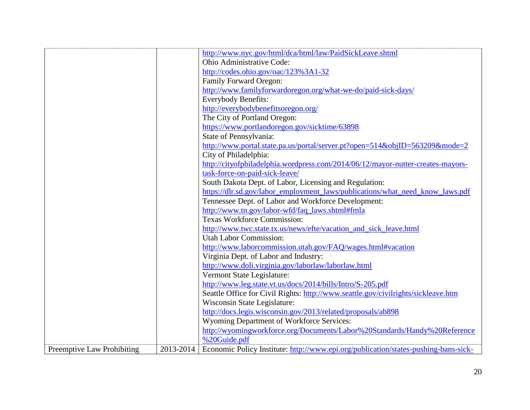|                                   |           | http://www.nyc.gov/html/dca/html/law/PaidSickLeave.shtml                            |
|-----------------------------------|-----------|-------------------------------------------------------------------------------------|
|                                   |           | Ohio Administrative Code:                                                           |
|                                   |           | http://codes.ohio.gov/oac/123%3A1-32                                                |
|                                   |           | Family Forward Oregon:                                                              |
|                                   |           | http://www.familyforwardoregon.org/what-we-do/paid-sick-days/                       |
|                                   |           | <b>Everybody Benefits:</b>                                                          |
|                                   |           | http://everybodybenefitsoregon.org/                                                 |
|                                   |           | The City of Portland Oregon:                                                        |
|                                   |           | https://www.portlandoregon.gov/sicktime/63898                                       |
|                                   |           | State of Pennsylvania:                                                              |
|                                   |           | http://www.portal.state.pa.us/portal/server.pt?open=514&objID=563209&mode=2         |
|                                   |           | City of Philadelphia:                                                               |
|                                   |           | http://cityofphiladelphia.wordpress.com/2014/06/12/mayor-nutter-creates-mayors-     |
|                                   |           | task-force-on-paid-sick-leave/                                                      |
|                                   |           | South Dakota Dept. of Labor, Licensing and Regulation:                              |
|                                   |           | https://dlr.sd.gov/labor_employment_laws/publications/what_need_know_laws.pdf       |
|                                   |           | Tennessee Dept. of Labor and Workforce Development:                                 |
|                                   |           | http://www.tn.gov/labor-wfd/faq_laws.shtml#fmla                                     |
|                                   |           | <b>Texas Workforce Commission:</b>                                                  |
|                                   |           | http://www.twc.state.tx.us/news/efte/vacation_and_sick_leave.html                   |
|                                   |           | <b>Utah Labor Commission:</b>                                                       |
|                                   |           | http://www.laborcommission.utah.gov/FAQ/wages.html#vacation                         |
|                                   |           | Virginia Dept. of Labor and Industry:                                               |
|                                   |           | http://www.doli.virginia.gov/laborlaw/laborlaw.html                                 |
|                                   |           | Vermont State Legislature:                                                          |
|                                   |           | http://www.leg.state.vt.us/docs/2014/bills/Intro/S-205.pdf                          |
|                                   |           | Seattle Office for Civil Rights: http://www.seattle.gov/civilrights/sickleave.htm   |
|                                   |           | Wisconsin State Legislature:                                                        |
|                                   |           | http://docs.legis.wisconsin.gov/2013/related/proposals/ab898                        |
|                                   |           | Wyoming Department of Workforce Services:                                           |
|                                   |           | http://wyomingworkforce.org/Documents/Labor%20Standards/Handy%20Reference           |
|                                   |           | %20Guide.pdf                                                                        |
| <b>Preemptive Law Prohibiting</b> | 2013-2014 | Economic Policy Institute: http://www.epi.org/publication/states-pushing-bans-sick- |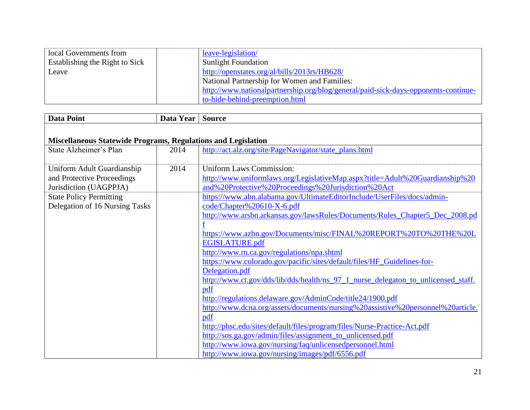| local Governments from         | leave-legislation/                                                                 |
|--------------------------------|------------------------------------------------------------------------------------|
| Establishing the Right to Sick | <b>Sunlight Foundation</b>                                                         |
| Leave                          | http://openstates.org/al/bills/2013rs/HB628/                                       |
|                                | National Partnership for Women and Families:                                       |
|                                | http://www.nationalpartnership.org/blog/general/paid-sick-days-opponents-continue- |
|                                | to-hide-behind-preemption.html                                                     |

| <b>Data Point</b>                                                                                                                                      | Data Year | <b>Source</b>                                                                                                                                                                                                                                                                                                                                                                                                                                                                                                                                                                                                                                                                                                                                                                                                                                                                                                                     |  |  |
|--------------------------------------------------------------------------------------------------------------------------------------------------------|-----------|-----------------------------------------------------------------------------------------------------------------------------------------------------------------------------------------------------------------------------------------------------------------------------------------------------------------------------------------------------------------------------------------------------------------------------------------------------------------------------------------------------------------------------------------------------------------------------------------------------------------------------------------------------------------------------------------------------------------------------------------------------------------------------------------------------------------------------------------------------------------------------------------------------------------------------------|--|--|
|                                                                                                                                                        |           |                                                                                                                                                                                                                                                                                                                                                                                                                                                                                                                                                                                                                                                                                                                                                                                                                                                                                                                                   |  |  |
| <b>Miscellaneous Statewide Programs, Regulations and Legislation</b>                                                                                   |           |                                                                                                                                                                                                                                                                                                                                                                                                                                                                                                                                                                                                                                                                                                                                                                                                                                                                                                                                   |  |  |
| State Alzheimer's Plan                                                                                                                                 | 2014      | http://act.alz.org/site/PageNavigator/state_plans.html                                                                                                                                                                                                                                                                                                                                                                                                                                                                                                                                                                                                                                                                                                                                                                                                                                                                            |  |  |
| Uniform Adult Guardianship<br>and Protective Proceedings<br>Jurisdiction (UAGPPJA)<br><b>State Policy Permitting</b><br>Delegation of 16 Nursing Tasks | 2014      | <b>Uniform Laws Commission:</b><br>http://www.uniformlaws.org/LegislativeMap.aspx?title=Adult%20Guardianship%20<br>and%20Protective%20Proceedings%20Jurisdiction%20Act<br>https://www.abn.alabama.gov/UltimateEditorInclude/UserFiles/docs/admin-<br>code/Chapter%20610-X-6.pdf<br>http://www.arsbn.arkansas.gov/lawsRules/Documents/Rules_Chapter5_Dec_2008.pd<br>https://www.azbn.gov/Documents/misc/FINAL%20REPORT%20TO%20THE%20L<br>EGISLATURE.pdf<br>http://www.rn.ca.gov/regulations/npa.shtml<br>https://www.colorado.gov/pacific/sites/default/files/HF_Guidelines-for-<br>Delegation.pdf<br>http://www.ct.gov/dds/lib/dds/health/ns_97_1_nurse_delegaton_to_unlicensed_staff.<br>pdf<br>http://regulations.delaware.gov/AdminCode/title24/1900.pdf<br>http://www.dcna.org/assets/documents/nursing%20assistive%20personnel%20article.<br>pdf<br>http://phsc.edu/sites/default/files/program/files/Nurse-Practice-Act.pdf |  |  |
|                                                                                                                                                        |           | http://sos.ga.gov/admin/files/assignment_to_unlicensed.pdf<br>http://www.iowa.gov/nursing/faq/unlicensedpersonnel.html<br>http://www.iowa.gov/nursing/images/pdf/6556.pdf                                                                                                                                                                                                                                                                                                                                                                                                                                                                                                                                                                                                                                                                                                                                                         |  |  |
|                                                                                                                                                        |           |                                                                                                                                                                                                                                                                                                                                                                                                                                                                                                                                                                                                                                                                                                                                                                                                                                                                                                                                   |  |  |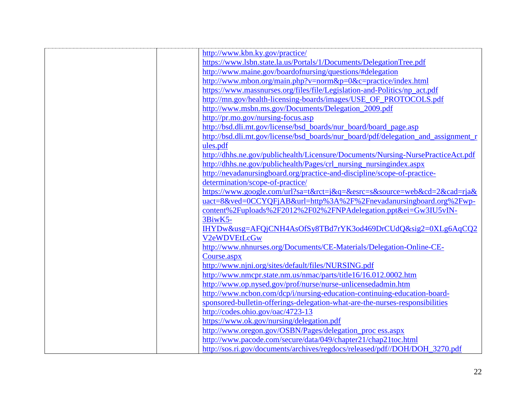| http://www.kbn.ky.gov/practice/                                                    |
|------------------------------------------------------------------------------------|
| https://www.lsbn.state.la.us/Portals/1/Documents/DelegationTree.pdf                |
| http://www.maine.gov/boardofnursing/questions/#delegation                          |
| http://www.mbon.org/main.php?v=norm&p=0&c=practice/index.html                      |
| https://www.massnurses.org/files/file/Legislation-and-Politics/np_act.pdf          |
| http://mn.gov/health-licensing-boards/images/USE_OF_PROTOCOLS.pdf                  |
| http://www.msbn.ms.gov/Documents/Delegation_2009.pdf                               |
| http://pr.mo.gov/nursing-focus.asp                                                 |
| http://bsd.dli.mt.gov/license/bsd_boards/nur_board/board_page.asp                  |
| http://bsd.dli.mt.gov/license/bsd_boards/nur_board/pdf/delegation_and_assignment_r |
| ules.pdf                                                                           |
| http://dhhs.ne.gov/publichealth/Licensure/Documents/Nursing-NursePracticeAct.pdf   |
| http://dhhs.ne.gov/publichealth/Pages/crl nursing nursingindex.aspx                |
| http://nevadanursingboard.org/practice-and-discipline/scope-of-practice-           |
| determination/scope-of-practice/                                                   |
| https://www.google.com/url?sa=t&rct=j&q=&esrc=s&source=web&cd=2&cad=rja&           |
| uact=8&ved=0CCYQFjAB&url=http%3A%2F%2Fnevadanursingboard.org%2Fwp-                 |
| content%2Fuploads%2F2012%2F02%2FNPAdelegation.ppt&ei=Gw3IU5vIN-                    |
| 3BiwK5-                                                                            |
| IHYDw&usg=AFQjCNH4AsOfSy8TBd7rYK3od469DrCUdQ&sig2=0XLg6AqCQ2                       |
| V2eWDVEtLcGw                                                                       |
| http://www.nhnurses.org/Documents/CE-Materials/Delegation-Online-CE-               |
| Course.aspx                                                                        |
| http://www.njni.org/sites/default/files/NURSING.pdf                                |
| http://www.nmcpr.state.nm.us/nmac/parts/title16/16.012.0002.htm                    |
| http://www.op.nysed.gov/prof/nurse/nurse-unlicensedadmin.htm                       |
| http://www.ncbon.com/dcp/i/nursing-education-continuing-education-board-           |
| sponsored-bulletin-offerings-delegation-what-are-the-nurses-responsibilities       |
| http://codes.ohio.gov/oac/4723-13                                                  |
| https://www.ok.gov/nursing/delegation.pdf                                          |
| http://www.oregon.gov/OSBN/Pages/delegation_proc ess.aspx                          |
|                                                                                    |
| http://www.pacode.com/secure/data/049/chapter21/chap21toc.html                     |
| http://sos.ri.gov/documents/archives/regdocs/released/pdf//DOH/DOH_3270.pdf        |